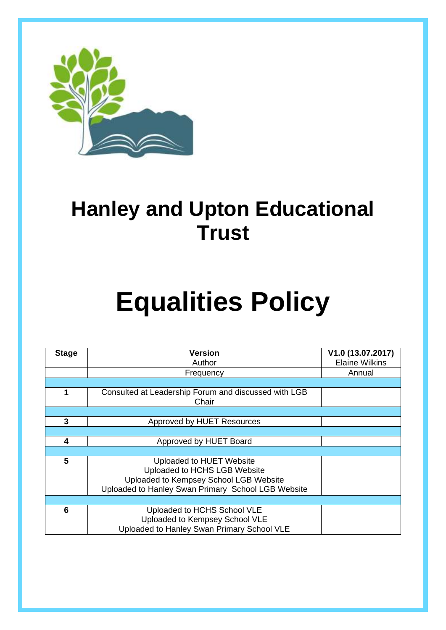

## **Hanley and Upton Educational Trust**

# **Equalities Policy**

| <b>Stage</b> | <b>Version</b>                                                                                                                                           | V1.0 (13.07.2017)     |
|--------------|----------------------------------------------------------------------------------------------------------------------------------------------------------|-----------------------|
|              | Author                                                                                                                                                   | <b>Elaine Wilkins</b> |
|              | Frequency                                                                                                                                                | Annual                |
|              |                                                                                                                                                          |                       |
|              | Consulted at Leadership Forum and discussed with LGB<br>Chair                                                                                            |                       |
|              |                                                                                                                                                          |                       |
| 3            | Approved by HUET Resources                                                                                                                               |                       |
|              |                                                                                                                                                          |                       |
| 4            | Approved by HUET Board                                                                                                                                   |                       |
|              |                                                                                                                                                          |                       |
| 5            | Uploaded to HUET Website<br>Uploaded to HCHS LGB Website<br>Uploaded to Kempsey School LGB Website<br>Uploaded to Hanley Swan Primary School LGB Website |                       |
|              |                                                                                                                                                          |                       |
| 6            | Uploaded to HCHS School VLE<br>Uploaded to Kempsey School VLE<br>Uploaded to Hanley Swan Primary School VLE                                              |                       |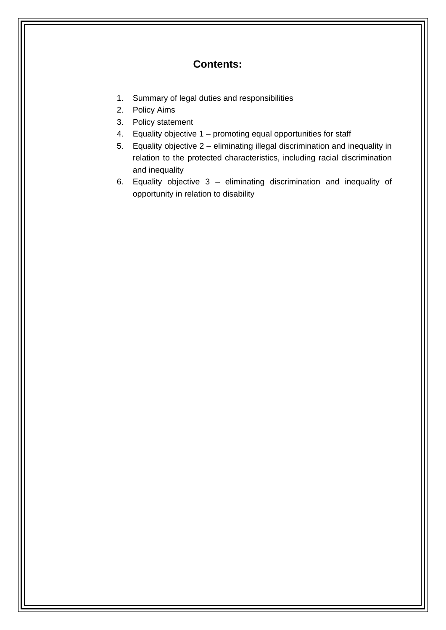#### **Contents:**

- 1. Summary of legal duties and responsibilities
- 2. Policy Aims
- 3. Policy statement
- 4. Equality objective 1 promoting equal opportunities for staff
- 5. Equality objective 2 eliminating illegal discrimination and inequality in relation to the protected characteristics, including racial discrimination and inequality
- 6. Equality objective 3 eliminating discrimination and inequality of opportunity in relation to disability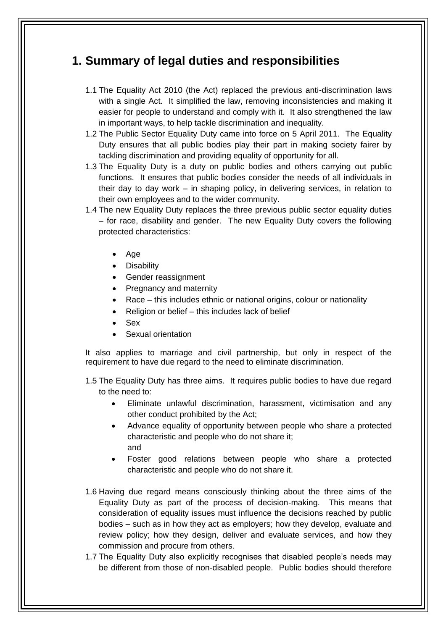#### **1. Summary of legal duties and responsibilities**

- 1.1 The Equality Act 2010 (the Act) replaced the previous anti-discrimination laws with a single Act. It simplified the law, removing inconsistencies and making it easier for people to understand and comply with it. It also strengthened the law in important ways, to help tackle discrimination and inequality.
- 1.2 The Public Sector Equality Duty came into force on 5 April 2011. The Equality Duty ensures that all public bodies play their part in making society fairer by tackling discrimination and providing equality of opportunity for all.
- 1.3 The Equality Duty is a duty on public bodies and others carrying out public functions. It ensures that public bodies consider the needs of all individuals in their day to day work – in shaping policy, in delivering services, in relation to their own employees and to the wider community.
- 1.4 The new Equality Duty replaces the three previous public sector equality duties – for race, disability and gender. The new Equality Duty covers the following protected characteristics:
	- Age
	- Disability
	- Gender reassignment
	- Pregnancy and maternity
	- Race this includes ethnic or national origins, colour or nationality
	- Religion or belief this includes lack of belief
	- Sex
	- Sexual orientation

It also applies to marriage and civil partnership, but only in respect of the requirement to have due regard to the need to eliminate discrimination.

- 1.5 The Equality Duty has three aims. It requires public bodies to have due regard to the need to:
	- Eliminate unlawful discrimination, harassment, victimisation and any other conduct prohibited by the Act;
	- Advance equality of opportunity between people who share a protected characteristic and people who do not share it; and
	- Foster good relations between people who share a protected characteristic and people who do not share it.
- 1.6 Having due regard means consciously thinking about the three aims of the Equality Duty as part of the process of decision-making. This means that consideration of equality issues must influence the decisions reached by public bodies – such as in how they act as employers; how they develop, evaluate and review policy; how they design, deliver and evaluate services, and how they commission and procure from others.
- 1.7 The Equality Duty also explicitly recognises that disabled people's needs may be different from those of non-disabled people. Public bodies should therefore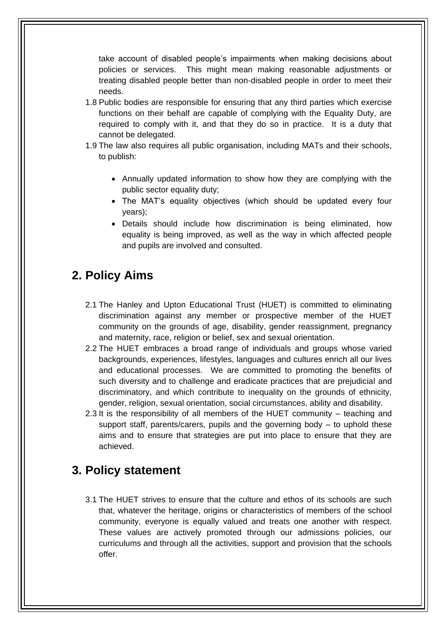take account of disabled people's impairments when making decisions about policies or services. This might mean making reasonable adjustments or treating disabled people better than non-disabled people in order to meet their needs.

- 1.8 Public bodies are responsible for ensuring that any third parties which exercise functions on their behalf are capable of complying with the Equality Duty, are required to comply with it, and that they do so in practice. It is a duty that cannot be delegated.
- 1.9 The law also requires all public organisation, including MATs and their schools, to publish:
	- Annually updated information to show how they are complying with the public sector equality duty;
	- The MAT's equality objectives (which should be updated every four years);
	- Details should include how discrimination is being eliminated, how equality is being improved, as well as the way in which affected people and pupils are involved and consulted.

#### **2. Policy Aims**

- 2.1 The Hanley and Upton Educational Trust (HUET) is committed to eliminating discrimination against any member or prospective member of the HUET community on the grounds of age, disability, gender reassignment, pregnancy and maternity, race, religion or belief, sex and sexual orientation.
- 2.2 The HUET embraces a broad range of individuals and groups whose varied backgrounds, experiences, lifestyles, languages and cultures enrich all our lives and educational processes. We are committed to promoting the benefits of such diversity and to challenge and eradicate practices that are prejudicial and discriminatory, and which contribute to inequality on the grounds of ethnicity, gender, religion, sexual orientation, social circumstances, ability and disability.
- 2.3 It is the responsibility of all members of the HUET community teaching and support staff, parents/carers, pupils and the governing body – to uphold these aims and to ensure that strategies are put into place to ensure that they are achieved.

#### **3. Policy statement**

3.1 The HUET strives to ensure that the culture and ethos of its schools are such that, whatever the heritage, origins or characteristics of members of the school community, everyone is equally valued and treats one another with respect. These values are actively promoted through our admissions policies, our curriculums and through all the activities, support and provision that the schools offer.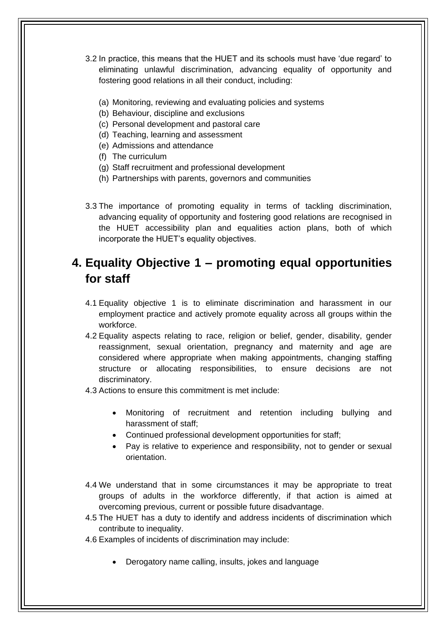- 3.2 In practice, this means that the HUET and its schools must have 'due regard' to eliminating unlawful discrimination, advancing equality of opportunity and fostering good relations in all their conduct, including:
	- (a) Monitoring, reviewing and evaluating policies and systems
	- (b) Behaviour, discipline and exclusions
	- (c) Personal development and pastoral care
	- (d) Teaching, learning and assessment
	- (e) Admissions and attendance
	- (f) The curriculum
	- (g) Staff recruitment and professional development
	- (h) Partnerships with parents, governors and communities
- 3.3 The importance of promoting equality in terms of tackling discrimination, advancing equality of opportunity and fostering good relations are recognised in the HUET accessibility plan and equalities action plans, both of which incorporate the HUET's equality objectives.

#### **4. Equality Objective 1 – promoting equal opportunities for staff**

- 4.1 Equality objective 1 is to eliminate discrimination and harassment in our employment practice and actively promote equality across all groups within the workforce.
- 4.2 Equality aspects relating to race, religion or belief, gender, disability, gender reassignment, sexual orientation, pregnancy and maternity and age are considered where appropriate when making appointments, changing staffing structure or allocating responsibilities, to ensure decisions are not discriminatory.
- 4.3 Actions to ensure this commitment is met include:
	- Monitoring of recruitment and retention including bullying and harassment of staff;
	- Continued professional development opportunities for staff;
	- Pay is relative to experience and responsibility, not to gender or sexual orientation.
- 4.4 We understand that in some circumstances it may be appropriate to treat groups of adults in the workforce differently, if that action is aimed at overcoming previous, current or possible future disadvantage.
- 4.5 The HUET has a duty to identify and address incidents of discrimination which contribute to inequality.
- 4.6 Examples of incidents of discrimination may include:
	- Derogatory name calling, insults, jokes and language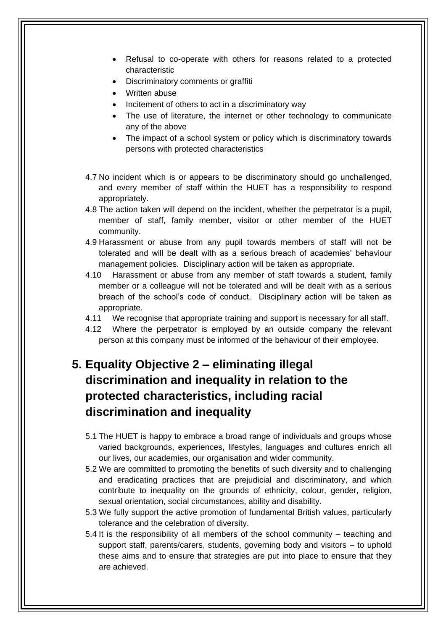- Refusal to co-operate with others for reasons related to a protected characteristic
- Discriminatory comments or graffiti
- Written abuse
- Incitement of others to act in a discriminatory way
- The use of literature, the internet or other technology to communicate any of the above
- The impact of a school system or policy which is discriminatory towards persons with protected characteristics
- 4.7 No incident which is or appears to be discriminatory should go unchallenged, and every member of staff within the HUET has a responsibility to respond appropriately.
- 4.8 The action taken will depend on the incident, whether the perpetrator is a pupil, member of staff, family member, visitor or other member of the HUET community.
- 4.9 Harassment or abuse from any pupil towards members of staff will not be tolerated and will be dealt with as a serious breach of academies' behaviour management policies. Disciplinary action will be taken as appropriate.
- 4.10 Harassment or abuse from any member of staff towards a student, family member or a colleague will not be tolerated and will be dealt with as a serious breach of the school's code of conduct. Disciplinary action will be taken as appropriate.
- 4.11 We recognise that appropriate training and support is necessary for all staff.
- 4.12 Where the perpetrator is employed by an outside company the relevant person at this company must be informed of the behaviour of their employee.

### **5. Equality Objective 2 – eliminating illegal discrimination and inequality in relation to the protected characteristics, including racial discrimination and inequality**

- 5.1 The HUET is happy to embrace a broad range of individuals and groups whose varied backgrounds, experiences, lifestyles, languages and cultures enrich all our lives, our academies, our organisation and wider community.
- 5.2 We are committed to promoting the benefits of such diversity and to challenging and eradicating practices that are prejudicial and discriminatory, and which contribute to inequality on the grounds of ethnicity, colour, gender, religion, sexual orientation, social circumstances, ability and disability.
- 5.3 We fully support the active promotion of fundamental British values, particularly tolerance and the celebration of diversity.
- 5.4 It is the responsibility of all members of the school community teaching and support staff, parents/carers, students, governing body and visitors – to uphold these aims and to ensure that strategies are put into place to ensure that they are achieved.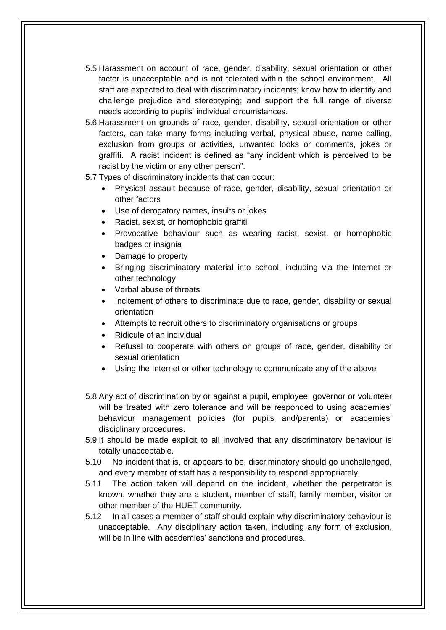- 5.5 Harassment on account of race, gender, disability, sexual orientation or other factor is unacceptable and is not tolerated within the school environment. All staff are expected to deal with discriminatory incidents; know how to identify and challenge prejudice and stereotyping; and support the full range of diverse needs according to pupils' individual circumstances.
- 5.6 Harassment on grounds of race, gender, disability, sexual orientation or other factors, can take many forms including verbal, physical abuse, name calling, exclusion from groups or activities, unwanted looks or comments, jokes or graffiti. A racist incident is defined as "any incident which is perceived to be racist by the victim or any other person".
- 5.7 Types of discriminatory incidents that can occur:
	- Physical assault because of race, gender, disability, sexual orientation or other factors
	- Use of derogatory names, insults or jokes
	- Racist, sexist, or homophobic graffiti
	- Provocative behaviour such as wearing racist, sexist, or homophobic badges or insignia
	- Damage to property
	- Bringing discriminatory material into school, including via the Internet or other technology
	- Verbal abuse of threats
	- Incitement of others to discriminate due to race, gender, disability or sexual orientation
	- Attempts to recruit others to discriminatory organisations or groups
	- Ridicule of an individual
	- Refusal to cooperate with others on groups of race, gender, disability or sexual orientation
	- Using the Internet or other technology to communicate any of the above
- 5.8 Any act of discrimination by or against a pupil, employee, governor or volunteer will be treated with zero tolerance and will be responded to using academies' behaviour management policies (for pupils and/parents) or academies' disciplinary procedures.
- 5.9 It should be made explicit to all involved that any discriminatory behaviour is totally unacceptable.
- 5.10 No incident that is, or appears to be, discriminatory should go unchallenged, and every member of staff has a responsibility to respond appropriately.
- 5.11 The action taken will depend on the incident, whether the perpetrator is known, whether they are a student, member of staff, family member, visitor or other member of the HUET community.
- 5.12 In all cases a member of staff should explain why discriminatory behaviour is unacceptable. Any disciplinary action taken, including any form of exclusion, will be in line with academies' sanctions and procedures.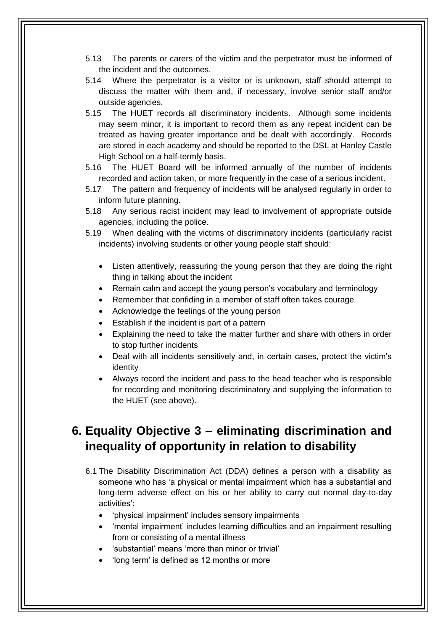- 5.13 The parents or carers of the victim and the perpetrator must be informed of the incident and the outcomes.
- 5.14 Where the perpetrator is a visitor or is unknown, staff should attempt to discuss the matter with them and, if necessary, involve senior staff and/or outside agencies.
- 5.15 The HUET records all discriminatory incidents. Although some incidents may seem minor, it is important to record them as any repeat incident can be treated as having greater importance and be dealt with accordingly. Records are stored in each academy and should be reported to the DSL at Hanley Castle High School on a half-termly basis.
- 5.16 The HUET Board will be informed annually of the number of incidents recorded and action taken, or more frequently in the case of a serious incident.
- 5.17 The pattern and frequency of incidents will be analysed regularly in order to inform future planning.
- 5.18 Any serious racist incident may lead to involvement of appropriate outside agencies, including the police.
- 5.19 When dealing with the victims of discriminatory incidents (particularly racist incidents) involving students or other young people staff should:
	- Listen attentively, reassuring the young person that they are doing the right thing in talking about the incident
	- Remain calm and accept the young person's vocabulary and terminology
	- Remember that confiding in a member of staff often takes courage
	- Acknowledge the feelings of the young person
	- Establish if the incident is part of a pattern
	- Explaining the need to take the matter further and share with others in order to stop further incidents
	- Deal with all incidents sensitively and, in certain cases, protect the victim's identity
	- Always record the incident and pass to the head teacher who is responsible for recording and monitoring discriminatory and supplying the information to the HUET (see above).

#### **6. Equality Objective 3 – eliminating discrimination and inequality of opportunity in relation to disability**

- 6.1 The Disability Discrimination Act (DDA) defines a person with a disability as someone who has 'a physical or mental impairment which has a substantial and long-term adverse effect on his or her ability to carry out normal day-to-day activities':
	- 'physical impairment' includes sensory impairments
	- 'mental impairment' includes learning difficulties and an impairment resulting from or consisting of a mental illness
	- 'substantial' means 'more than minor or trivial'
	- 'long term' is defined as 12 months or more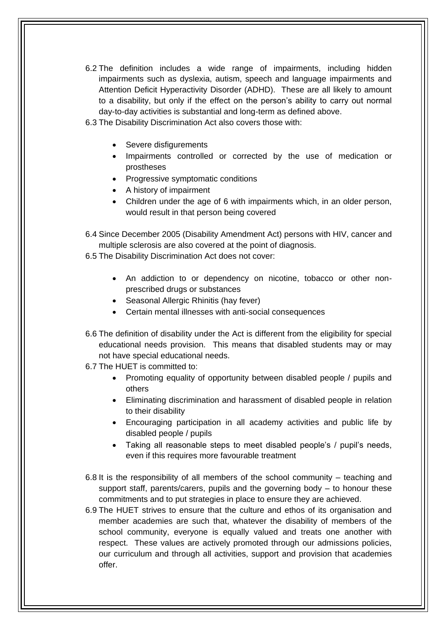- 6.2 The definition includes a wide range of impairments, including hidden impairments such as dyslexia, autism, speech and language impairments and Attention Deficit Hyperactivity Disorder (ADHD). These are all likely to amount to a disability, but only if the effect on the person's ability to carry out normal day-to-day activities is substantial and long-term as defined above.
- 6.3 The Disability Discrimination Act also covers those with:
	- Severe disfigurements
	- Impairments controlled or corrected by the use of medication or prostheses
	- Progressive symptomatic conditions
	- A history of impairment
	- Children under the age of 6 with impairments which, in an older person, would result in that person being covered
- 6.4 Since December 2005 (Disability Amendment Act) persons with HIV, cancer and multiple sclerosis are also covered at the point of diagnosis.
- 6.5 The Disability Discrimination Act does not cover:
	- An addiction to or dependency on nicotine, tobacco or other nonprescribed drugs or substances
	- Seasonal Allergic Rhinitis (hay fever)
	- Certain mental illnesses with anti-social consequences
- 6.6 The definition of disability under the Act is different from the eligibility for special educational needs provision. This means that disabled students may or may not have special educational needs.
- 6.7 The HUET is committed to:
	- Promoting equality of opportunity between disabled people / pupils and others
	- Eliminating discrimination and harassment of disabled people in relation to their disability
	- Encouraging participation in all academy activities and public life by disabled people / pupils
	- Taking all reasonable steps to meet disabled people's / pupil's needs, even if this requires more favourable treatment
- 6.8 It is the responsibility of all members of the school community teaching and support staff, parents/carers, pupils and the governing body – to honour these commitments and to put strategies in place to ensure they are achieved.
- 6.9 The HUET strives to ensure that the culture and ethos of its organisation and member academies are such that, whatever the disability of members of the school community, everyone is equally valued and treats one another with respect. These values are actively promoted through our admissions policies, our curriculum and through all activities, support and provision that academies offer.